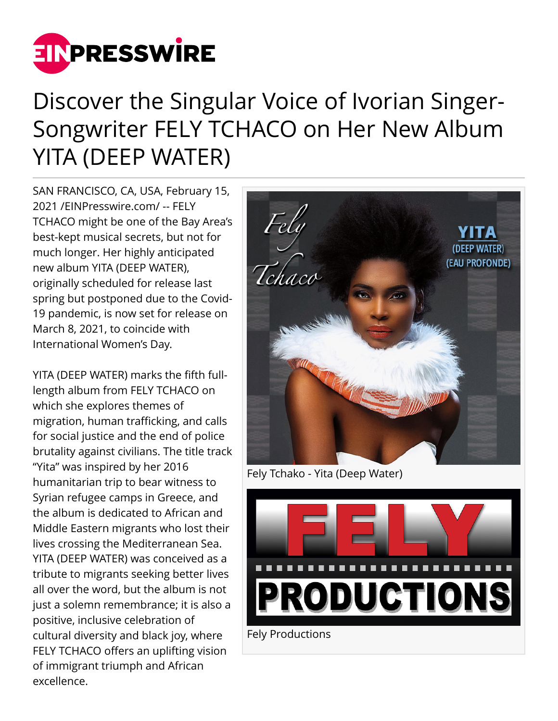

## Discover the Singular Voice of Ivorian Singer-Songwriter FELY TCHACO on Her New Album YITA (DEEP WATER)

SAN FRANCISCO, CA, USA, February 15, 2021 /[EINPresswire.com](http://www.einpresswire.com)/ -- FELY TCHACO might be one of the Bay Area's best-kept musical secrets, but not for much longer. Her highly anticipated new album YITA (DEEP WATER), originally scheduled for release last spring but postponed due to the Covid-19 pandemic, is now set for release on March 8, 2021, to coincide with International Women's Day.

YITA (DEEP WATER) marks the fifth fulllength album from FELY TCHACO on which she explores themes of migration, human trafficking, and calls for social justice and the end of police brutality against civilians. The title track "Yita" was inspired by her 2016 humanitarian trip to bear witness to Syrian refugee camps in Greece, and the album is dedicated to African and Middle Eastern migrants who lost their lives crossing the Mediterranean Sea. YITA (DEEP WATER) was conceived as a tribute to migrants seeking better lives all over the word, but the album is not just a solemn remembrance; it is also a positive, inclusive celebration of cultural diversity and black joy, where FELY TCHACO offers an uplifting vision of immigrant triumph and African excellence.



Fely Tchako - Yita (Deep Water)

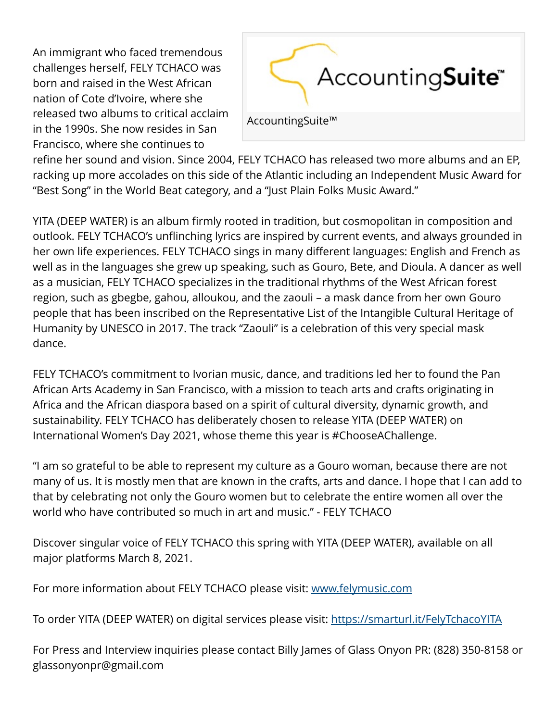An immigrant who faced tremendous challenges herself, FELY TCHACO was born and raised in the West African nation of Cote d'Ivoire, where she released two albums to critical acclaim in the 1990s. She now resides in San Francisco, where she continues to



refine her sound and vision. Since 2004, FELY TCHACO has released two more albums and an EP, racking up more accolades on this side of the Atlantic including an Independent Music Award for "Best Song" in the World Beat category, and a "Just Plain Folks Music Award."

YITA (DEEP WATER) is an album firmly rooted in tradition, but cosmopolitan in composition and outlook. FELY TCHACO's unflinching lyrics are inspired by current events, and always grounded in her own life experiences. FELY TCHACO sings in many different languages: English and French as well as in the languages she grew up speaking, such as Gouro, Bete, and Dioula. A dancer as well as a musician, FELY TCHACO specializes in the traditional rhythms of the West African forest region, such as gbegbe, gahou, alloukou, and the zaouli – a mask dance from her own Gouro people that has been inscribed on the Representative List of the Intangible Cultural Heritage of Humanity by UNESCO in 2017. The track "Zaouli" is a celebration of this very special mask dance.

FELY TCHACO's commitment to Ivorian music, dance, and traditions led her to found the Pan African Arts Academy in San Francisco, with a mission to teach arts and crafts originating in Africa and the African diaspora based on a spirit of cultural diversity, dynamic growth, and sustainability. FELY TCHACO has deliberately chosen to release YITA (DEEP WATER) on International Women's Day 2021, whose theme this year is #ChooseAChallenge.

"I am so grateful to be able to represent my culture as a Gouro woman, because there are not many of us. It is mostly men that are known in the crafts, arts and dance. I hope that I can add to that by celebrating not only the Gouro women but to celebrate the entire women all over the world who have contributed so much in art and music." - FELY TCHACO

Discover singular voice of FELY TCHACO this spring with YITA (DEEP WATER), available on all major platforms March 8, 2021.

For more information about FELY TCHACO please visit: [www.felymusic.com](http://www.felymusic.com)

To order YITA (DEEP WATER) on digital services please visit:<https://smarturl.it/FelyTchacoYITA>

For Press and Interview inquiries please contact Billy James of Glass Onyon PR: (828) 350-8158 or glassonyonpr@gmail.com